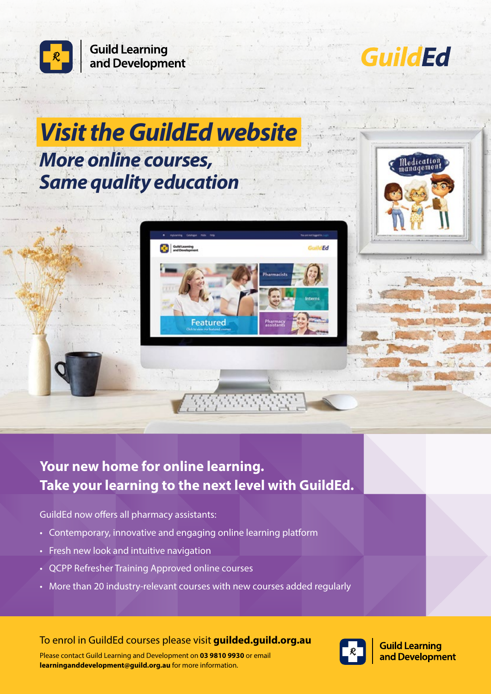

## **Your new home for online learning. Take your learning to the next level with GuildEd.**

GuildEd now offers all pharmacy assistants:

- Contemporary, innovative and engaging online learning platform
- Fresh new look and intuitive navigation
- QCPP Refresher Training Approved online courses
- More than 20 industry-relevant courses with new courses added regularly

To enrol in GuildEd courses please visit **guilded.guild.org.au**



**Guild Learning** and Development

Please contact Guild Learning and Development on **03 9810 9930** or email **[learninganddevelopment@guild.org.au](mailto:learninganddevelopment@guild.org.au)** for more information.